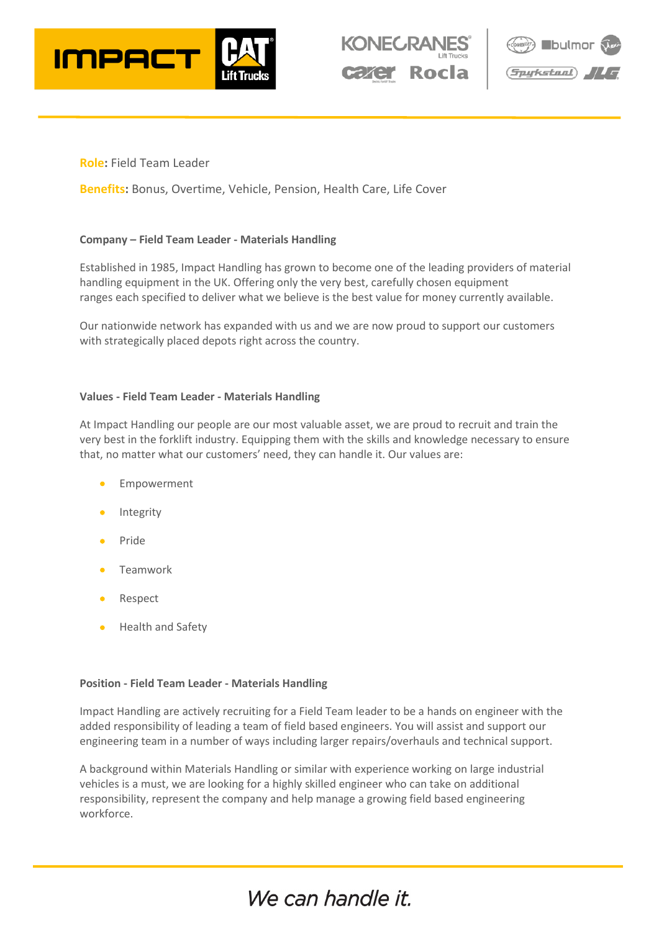





## **Role:** Field Team Leader

**Benefits:** Bonus, Overtime, Vehicle, Pension, Health Care, Life Cover

#### **Company – Field Team Leader - Materials Handling**

Established in 1985, Impact Handling has grown to become one of the leading providers of material handling equipment in the UK. Offering only the very best, carefully chosen equipment ranges each specified to deliver what we believe is the best value for money currently available.

Our nationwide network has expanded with us and we are now proud to support our customers with strategically placed depots right across the country.

#### **Values - Field Team Leader - Materials Handling**

At Impact Handling our people are our most valuable asset, we are proud to recruit and train the very best in the forklift industry. Equipping them with the skills and knowledge necessary to ensure that, no matter what our customers' need, they can handle it. Our values are:

- **Empowerment**
- **Integrity**
- Pride
- Teamwork
- Respect
- Health and Safety

#### **Position - Field Team Leader - Materials Handling**

Impact Handling are actively recruiting for a Field Team leader to be a hands on engineer with the added responsibility of leading a team of field based engineers. You will assist and support our engineering team in a number of ways including larger repairs/overhauls and technical support.

A background within Materials Handling or similar with experience working on large industrial vehicles is a must, we are looking for a highly skilled engineer who can take on additional responsibility, represent the company and help manage a growing field based engineering workforce.

# We can handle it.